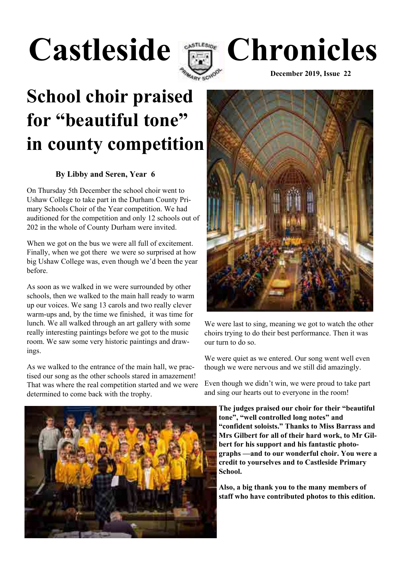# **Castleside Chronicles**



**December 2019, Issue 22**

## **School choir praised for "beautiful tone" in county competition**

### **By Libby and Seren, Year 6**

On Thursday 5th December the school choir went to Ushaw College to take part in the Durham County Primary Schools Choir of the Year competition. We had auditioned for the competition and only 12 schools out of 202 in the whole of County Durham were invited.

When we got on the bus we were all full of excitement. Finally, when we got there we were so surprised at how big Ushaw College was, even though we'd been the year before.

As soon as we walked in we were surrounded by other schools, then we walked to the main hall ready to warm up our voices. We sang 13 carols and two really clever warm-ups and, by the time we finished, it was time for lunch. We all walked through an art gallery with some really interesting paintings before we got to the music room. We saw some very historic paintings and drawings.

As we walked to the entrance of the main hall, we practised our song as the other schools stared in amazement! That was where the real competition started and we were determined to come back with the trophy.





We were last to sing, meaning we got to watch the other choirs trying to do their best performance. Then it was our turn to do so.

We were quiet as we entered. Our song went well even though we were nervous and we still did amazingly.

Even though we didn't win, we were proud to take part and sing our hearts out to everyone in the room!

**The judges praised our choir for their "beautiful tone", "well controlled long notes" and "confident soloists." Thanks to Miss Barrass and Mrs Gilbert for all of their hard work, to Mr Gilbert for his support and his fantastic photographs —and to our wonderful choir. You were a credit to yourselves and to Castleside Primary School.** 

**Also, a big thank you to the many members of staff who have contributed photos to this edition.**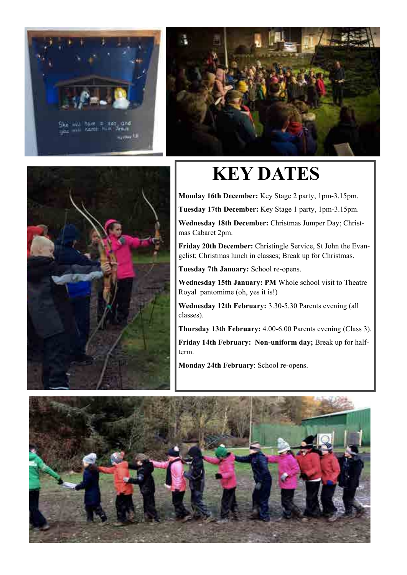





### **KEY DATES**

**Monday 16th December:** Key Stage 2 party, 1pm-3.15pm.

**Tuesday 17th December:** Key Stage 1 party, 1pm-3.15pm.

**Wednesday 18th December:** Christmas Jumper Day; Christmas Cabaret 2pm.

**Friday 20th December:** Christingle Service, St John the Evangelist; Christmas lunch in classes; Break up for Christmas.

**Tuesday 7th January:** School re-opens.

**Wednesday 15th January: PM** Whole school visit to Theatre Royal pantomime (oh, yes it is!)

**Wednesday 12th February:** 3.30-5.30 Parents evening (all classes).

**Thursday 13th February:** 4.00-6.00 Parents evening (Class 3). **Friday 14th February: Non-uniform day;** Break up for halfterm.

**Monday 24th February**: School re-opens.

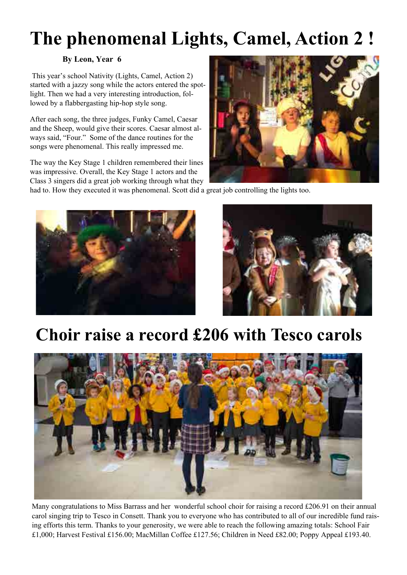## **The phenomenal Lights, Camel, Action 2 !**

### **By Leon, Year 6**

This year's school Nativity (Lights, Camel, Action 2) started with a jazzy song while the actors entered the spotlight. Then we had a very interesting introduction, followed by a flabbergasting hip-hop style song.

After each song, the three judges, Funky Camel, Caesar and the Sheep, would give their scores. Caesar almost always said, "Four." Some of the dance routines for the songs were phenomenal. This really impressed me.

The way the Key Stage 1 children remembered their lines was impressive. Overall, the Key Stage 1 actors and the Class 3 singers did a great job working through what they



had to. How they executed it was phenomenal. Scott did a great job controlling the lights too.





### **Choir raise a record £206 with Tesco carols**



Many congratulations to Miss Barrass and her wonderful school choir for raising a record £206.91 on their annual carol singing trip to Tesco in Consett. Thank you to everyone who has contributed to all of our incredible fund raising efforts this term. Thanks to your generosity, we were able to reach the following amazing totals: School Fair £1,000; Harvest Festival £156.00; MacMillan Coffee £127.56; Children in Need £82.00; Poppy Appeal £193.40.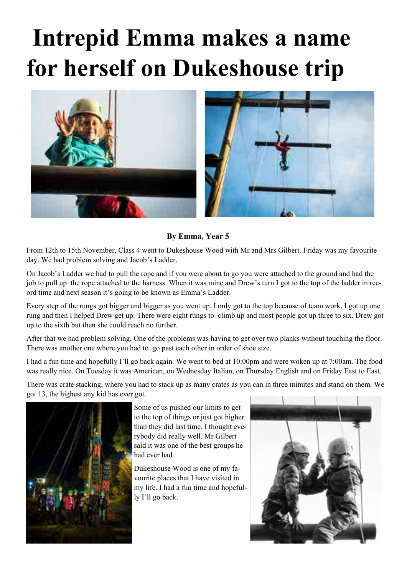## **Intrepid Emma makes a name for herself on Dukeshouse trip**



### **By Emma, Year 5**

From 12th to 15th November, Class 4 went to Dukeshouse Wood with Mr and Mrs Gilbert. Friday was my favourite day. We had problem solving and Jacob's Ladder.

On Jacob's Ladder we had to pull the rope and if you were about to go you were attached to the ground and had the job to pull up the rope attached to the harness. When it was mine and Drew's turn I got to the top of the ladder in record time and next season it's going to be known as Emma's Ladder.

Every step of the rungs got bigger and bigger as you went up. I only got to the top because of team work. I got up one rung and then I helped Drew get up. There were eight rungs to climb up and most people got up three to six. Drew got up to the sixth but then she could reach no further.

After that we had problem solving. One of the problems was having to get over two planks without touching the floor. There was another one where you had to go past each other in order of shoe size.

I had a fun time and hopefully I'll go back again. We went to bed at 10:00pm and were woken up at 7:00am. The food was really nice. On Tuesday it was American, on Wednesday Italian, on Thursday English and on Friday East to East.

There was crate stacking, where you had to stack up as many crates as you can in three minutes and stand on them. We got 13, the highest any kid has ever got.



Some of us pushed our limits to get to the top of things or just got higher than they did last time. I thought everybody did really well. Mr Gilbert said it was one of the best groups he had ever had.

Dukeshouse Wood is one of my favourite places that I have visited in my life. I had a fun time and hopefully I'll go back.

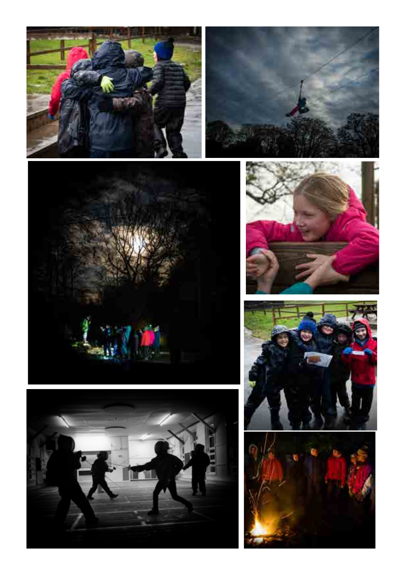









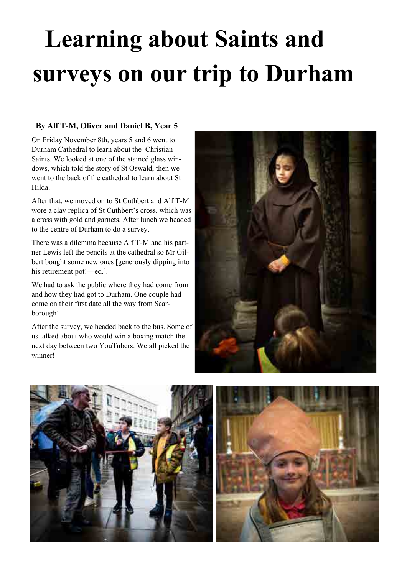## **Learning about Saints and surveys on our trip to Durham**

#### **By Alf T-M, Oliver and Daniel B, Year 5**

On Friday November 8th, years 5 and 6 went to Durham Cathedral to learn about the Christian Saints. We looked at one of the stained glass windows, which told the story of St Oswald, then we went to the back of the cathedral to learn about St Hilda.

After that, we moved on to St Cuthbert and Alf T-M wore a clay replica of St Cuthbert's cross, which was a cross with gold and garnets. After lunch we headed to the centre of Durham to do a survey.

There was a dilemma because Alf T-M and his partner Lewis left the pencils at the cathedral so Mr Gilbert bought some new ones [generously dipping into his retirement pot!—ed.].

We had to ask the public where they had come from and how they had got to Durham. One couple had come on their first date all the way from Scarborough!

After the survey, we headed back to the bus. Some of us talked about who would win a boxing match the next day between two YouTubers. We all picked the winner!



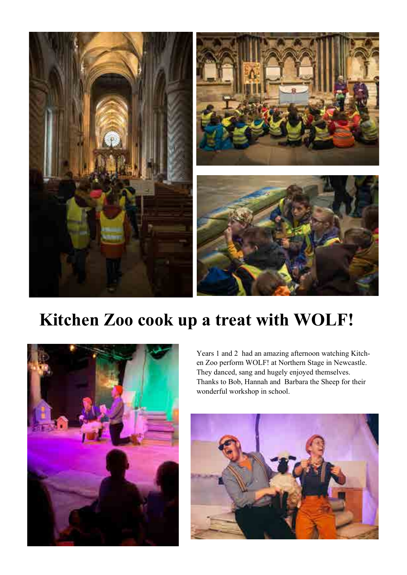

### **Kitchen Zoo cook up a treat with WOLF!**

![](_page_6_Picture_2.jpeg)

Years 1 and 2 had an amazing afternoon watching Kitchen Zoo perform WOLF! at Northern Stage in Newcastle. They danced, sang and hugely enjoyed themselves. Thanks to Bob, Hannah and Barbara the Sheep for their wonderful workshop in school.

![](_page_6_Picture_4.jpeg)